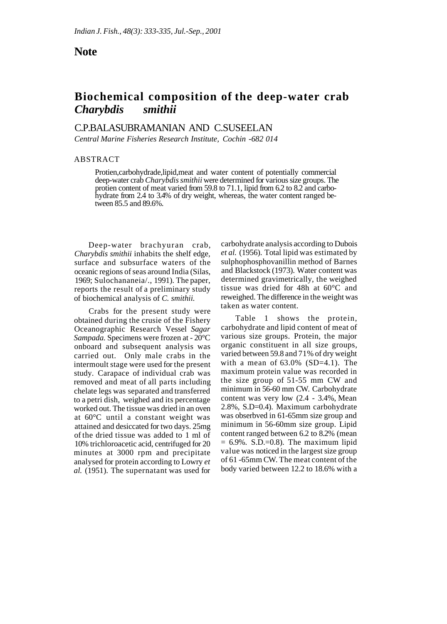## **Note**

# **Biochemical composition of the deep-water crab**  *Charybdis smithii*

### C.P.BALASUBRAMANIAN AND C.SUSEELAN

*Central Marine Fisheries Research Institute, Cochin -682 014* 

#### ABSTRACT

Protien,carbohydrade,lipid,meat and water content of potentially commercial deep-water crab *Charybdis smithii* were determined for various size groups. The protien content of meat varied from 59.8 to 71.1, lipid from 6.2 to 8.2 and carbohydrate from 2.4 to 3.4% of dry weight, whereas, the water content ranged between 85.5 and 89.6%.

Deep-water brachyuran crab, *Charybdis smithii* inhabits the shelf edge, surface and subsurface waters of the oceanic regions of seas around India (Silas, 1969; Sulochananeia/., 1991). The paper, reports the result of a preliminary study of biochemical analysis of *C. smithii.* 

Crabs for the present study were obtained during the crusie of the Fishery Oceanographic Research Vessel *Sagar Sampada.* Specimens were frozen at - 20°C onboard and subsequent analysis was carried out. Only male crabs in the intermoult stage were used for the present study. Carapace of individual crab was removed and meat of all parts including chelate legs was separated and transferred to a petri dish, weighed and its percentage worked out. The tissue was dried in an oven at 60°C until a constant weight was attained and desiccated for two days. 25mg of the dried tissue was added to 1 ml of 10% trichloroacetic acid, centrifuged for 20 minutes at 3000 rpm and precipitate analysed for protein according to Lowry *et al.* (1951). The supernatant was used for

carbohydrate analysis according to Dubois *et al.* (1956). Total lipid was estimated by sulphophosphovanillin method of Barnes and Blackstock (1973). Water content was determined gravimetrically, the weighed tissue was dried for 48h at 60°C and reweighed. The difference in the weight was taken as water content.

Table 1 shows the protein, carbohydrate and lipid content of meat of various size groups. Protein, the major organic constituent in all size groups, varied between 59.8 and 71% of dry weight with a mean of  $63.0\%$  (SD=4.1). The maximum protein value was recorded in the size group of 51-55 mm CW and minimum in 56-60 mm CW. Carbohydrate content was very low (2.4 - 3.4%, Mean 2.8%, S.D=0.4). Maximum carbohydrate was obserbved in 61-65mm size group and minimum in 56-60mm size group. Lipid content ranged between 6.2 to 8.2% (mean  $= 6.9\%$ . S.D.=0.8). The maximum lipid value was noticed in the largest size group of 61 -65mm CW. The meat content of the body varied between 12.2 to 18.6% with a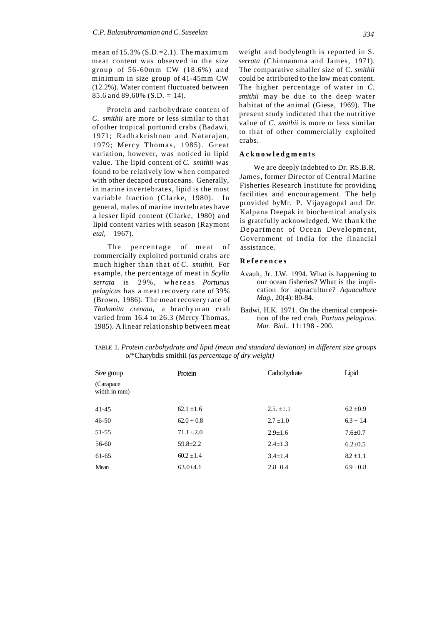mean of  $15.3\%$  (S.D.=2.1). The maximum meat content was observed in the size group of 56-60mm CW (18.6%) an d minimum in size group of 41-45mm CW (12.2%). Water content fluctuated between 85.6 and 89.60% (S.D. = 14).

Protein and carbohydrate content of *C. smithii* are more or less similar to that of other tropical portunid crabs (Badawi, 1971; Radhakrishnan and Natarajan, 1979; Mercy Thomas, 1985). Great variation, however, was noticed in lipid value. The lipid content of *C. smithii* was found to be relatively low when compared with other decapod crustaceans. Generally, in marine invertebrates, lipid is the most variable fraction (Clarke, 1980). In general, males of marine invrtebrates have a lesser lipid content (Clarke, 1980) and lipid content varies with season (Raymont *etal,* 1967).

The percentage of meat of commercially exploited portunid crabs are much higher than that of *C. smithii.* For example, the percentage of meat in *Scylla serrata* is 29%, whereas *Portunus pelagicus* has a meat recovery rate of 39% (Brown, 1986). The meat recovery rate of *Thalamita crenata,* a brachyuran crab varied from 16.4 to 26.3 (Mercy Thomas, 1985). A linear relationship between meat weight and bodylength is reported in S. *serrata* (Chinnamma and James, 1971). The comparative smaller size of C. *smithii*  could be attributed to the low meat content. The higher percentage of water in *C. smithii* may be due to the deep water habitat of the animal (Giese, 1969). The present study indicated that the nutritive value of *C. smithii* is more or less similar to that of other commercially exploited crabs.

#### **Acknowledgments**

We are deeply indebted to Dr. RS.B.R. James, former Director of Central Marine Fisheries Research Institute for providing facilities and encouragement. The help provided byMr. P. Vijayagopal and Dr. Kalpana Deepak in biochemical analysis is gratefully acknowledged. We thank the Department of Ocean Development, Government of India for the financial assistance.

#### **Reference s**

- Avault, Jr. J.W. 1994. What is happening to our ocean fisheries? What is the implication for aquaculture? *Aquaculture Mag.,* 20(4): 80-84.
- Badwi, H.K. 1971. On the chemical composition of the red crab, *Portuns pelagicus. Mar. Biol..* 11:198 - 200.

| Size group                 | Protein        | Carbohydrate   | Lipid         |
|----------------------------|----------------|----------------|---------------|
| (Carapace)<br>width in mm) |                |                |               |
| $41 - 45$                  | $62.1 \pm 1.6$ | $2.5. \pm 1.1$ | $6.2 \pm 0.9$ |
| $46 - 50$                  | $62.0 + 0.8$   | $2.7 \pm 1.0$  | $6.3 + 1.4$   |
| 51-55                      | $71.1 + .2.0$  | $2.9 \pm 1.6$  | $7.6 \pm 0.7$ |
| 56-60                      | $59.8 \pm 2.2$ | $2.4 \pm 1.3$  | $6.2 \pm 0.5$ |
| 61-65                      | $60.2 + 1.4$   | $3.4 \pm 1.4$  | $8.2 \pm 1.1$ |
| Mean                       | $63.0 \pm 4.1$ | $2.8 \pm 0.4$  | $6.9 \pm 0.8$ |

TABLE 1. *Protein carbohydrate and lipid (mean and standard deviation) in different size groups*  o/\*Charybdis smithii *(as percentage of dry weight)*